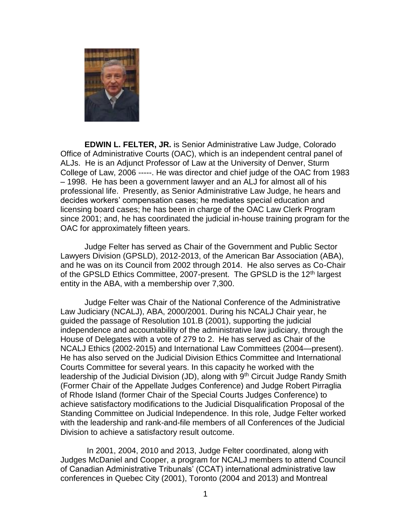

**EDWIN L. FELTER, JR.** is Senior Administrative Law Judge, Colorado Office of Administrative Courts (OAC), which is an independent central panel of ALJs. He is an Adjunct Professor of Law at the University of Denver, Sturm College of Law, 2006 -----. He was director and chief judge of the OAC from 1983 – 1998. He has been a government lawyer and an ALJ for almost all of his professional life. Presently, as Senior Administrative Law Judge, he hears and decides workers' compensation cases; he mediates special education and licensing board cases; he has been in charge of the OAC Law Clerk Program since 2001; and, he has coordinated the judicial in-house training program for the OAC for approximately fifteen years.

Judge Felter has served as Chair of the Government and Public Sector Lawyers Division (GPSLD), 2012-2013, of the American Bar Association (ABA), and he was on its Council from 2002 through 2014. He also serves as Co-Chair of the GPSLD Ethics Committee, 2007-present. The GPSLD is the 12<sup>th</sup> largest entity in the ABA, with a membership over 7,300.

Judge Felter was Chair of the National Conference of the Administrative Law Judiciary (NCALJ), ABA, 2000/2001. During his NCALJ Chair year, he guided the passage of Resolution 101.B (2001), supporting the judicial independence and accountability of the administrative law judiciary, through the House of Delegates with a vote of 279 to 2. He has served as Chair of the NCALJ Ethics (2002-2015) and International Law Committees (2004—present). He has also served on the Judicial Division Ethics Committee and International Courts Committee for several years. In this capacity he worked with the leadership of the Judicial Division (JD), along with 9<sup>th</sup> Circuit Judge Randy Smith (Former Chair of the Appellate Judges Conference) and Judge Robert Pirraglia of Rhode Island (former Chair of the Special Courts Judges Conference) to achieve satisfactory modifications to the Judicial Disqualification Proposal of the Standing Committee on Judicial Independence. In this role, Judge Felter worked with the leadership and rank-and-file members of all Conferences of the Judicial Division to achieve a satisfactory result outcome.

In 2001, 2004, 2010 and 2013, Judge Felter coordinated, along with Judges McDaniel and Cooper, a program for NCALJ members to attend Council of Canadian Administrative Tribunals' (CCAT) international administrative law conferences in Quebec City (2001), Toronto (2004 and 2013) and Montreal